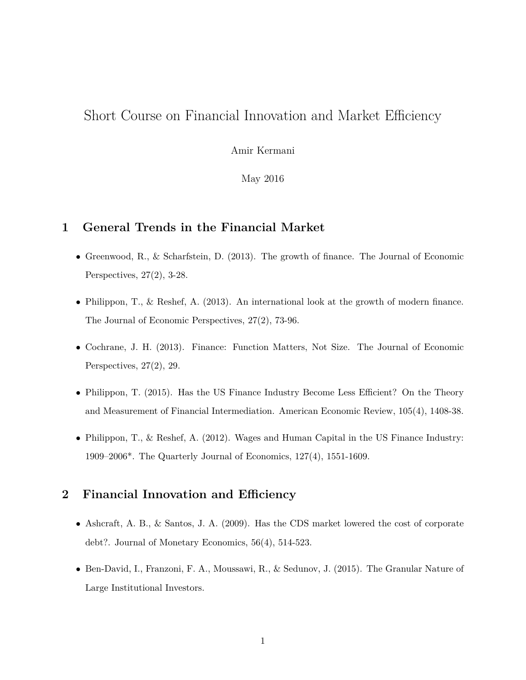## Short Course on Financial Innovation and Market Efficiency

Amir Kermani

May 2016

## **1 General Trends in the Financial Market**

- Greenwood, R., & Scharfstein, D. (2013). The growth of finance. The Journal of Economic Perspectives, 27(2), 3-28.
- Philippon, T., & Reshef, A. (2013). An international look at the growth of modern finance. The Journal of Economic Perspectives, 27(2), 73-96.
- Cochrane, J. H. (2013). Finance: Function Matters, Not Size. The Journal of Economic Perspectives, 27(2), 29.
- Philippon, T. (2015). Has the US Finance Industry Become Less Efficient? On the Theory and Measurement of Financial Intermediation. American Economic Review, 105(4), 1408-38.
- Philippon, T., & Reshef, A. (2012). Wages and Human Capital in the US Finance Industry: 1909–2006\*. The Quarterly Journal of Economics, 127(4), 1551-1609.

## **2 Financial Innovation and Efficiency**

- Ashcraft, A. B., & Santos, J. A. (2009). Has the CDS market lowered the cost of corporate debt?. Journal of Monetary Economics, 56(4), 514-523.
- Ben-David, I., Franzoni, F. A., Moussawi, R., & Sedunov, J. (2015). The Granular Nature of Large Institutional Investors.